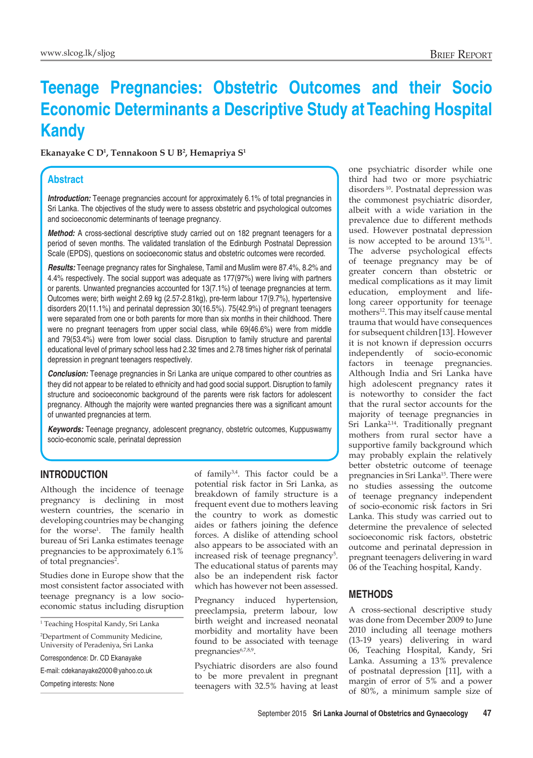# **Teenage Pregnancies: Obstetric Outcomes and their Socio Economic Determinants a Descriptive Study at Teaching Hospital Kandy**

**Ekanayake C D1 , Tennakoon S U B2 , Hemapriya S1**

## **Abstract**

*Introduction:* Teenage pregnancies account for approximately 6.1% of total pregnancies in Sri Lanka. The objectives of the study were to assess obstetric and psychological outcomes and socioeconomic determinants of teenage pregnancy.

*Method:* A cross-sectional descriptive study carried out on 182 pregnant teenagers for a period of seven months. The validated translation of the Edinburgh Postnatal Depression Scale (EPDS), questions on socioeconomic status and obstetric outcomes were recorded.

*Results:* Teenage pregnancy rates for Singhalese, Tamil and Muslim were 87.4%, 8.2% and 4.4% respectively. The social support was adequate as 177(97%) were living with partners or parents. Unwanted pregnancies accounted for 13(7.1%) of teenage pregnancies at term. Outcomes were; birth weight 2.69 kg (2.57-2.81kg), pre-term labour 17(9.7%), hypertensive disorders 20(11.1%) and perinatal depression 30(16.5%). 75(42.9%) of pregnant teenagers were separated from one or both parents for more than six months in their childhood. There were no pregnant teenagers from upper social class, while 69(46.6%) were from middle and 79(53.4%) were from lower social class. Disruption to family structure and parental educational level of primary school less had 2.32 times and 2.78 times higher risk of perinatal depression in pregnant teenagers respectively.

**Conclusion:** Teenage pregnancies in Sri Lanka are unique compared to other countries as they did not appear to be related to ethnicity and had good social support. Disruption to family structure and socioeconomic background of the parents were risk factors for adolescent pregnancy. Although the majority were wanted pregnancies there was a significant amount of unwanted pregnancies at term.

*Keywords:* Teenage pregnancy, adolescent pregnancy, obstetric outcomes, Kuppuswamy socio-economic scale, perinatal depression

### **Introduction**

Although the incidence of teenage pregnancy is declining in most western countries, the scenario in developing countries may be changing for the worse<sup>1</sup>. The family health bureau of Sri Lanka estimates teenage pregnancies to be approximately 6.1% of total pregnancies<sup>2</sup>.

Studies done in Europe show that the most consistent factor associated with teenage pregnancy is a low socioeconomic status including disruption

1 Teaching Hospital Kandy, Sri Lanka

2 Department of Community Medicine, University of Peradeniya, Sri Lanka

Correspondence: Dr. CD Ekanayake

E-mail: cdekanayake2000@yahoo.co.uk

Competing interests: None

of family<sup>3,4</sup>. This factor could be a potential risk factor in Sri Lanka, as breakdown of family structure is a frequent event due to mothers leaving the country to work as domestic aides or fathers joining the defence forces. A dislike of attending school also appears to be associated with an increased risk of teenage pregnancy<sup>5</sup>. The educational status of parents may also be an independent risk factor which has however not been assessed.

Pregnancy induced hypertension, preeclampsia, preterm labour, low birth weight and increased neonatal morbidity and mortality have been found to be associated with teenage pregnancies<sup>6,7,8,9</sup>.

Psychiatric disorders are also found to be more prevalent in pregnant teenagers with 32.5% having at least

one psychiatric disorder while one third had two or more psychiatric disorders 10. Postnatal depression was the commonest psychiatric disorder, albeit with a wide variation in the prevalence due to different methods used. However postnatal depression is now accepted to be around  $13\%$ <sup>11</sup>. The adverse psychological effects of teenage pregnancy may be of greater concern than obstetric or medical complications as it may limit education, employment and lifelong career opportunity for teenage mothers<sup>12</sup>. This may itself cause mental trauma that would have consequences for subsequent children[13]. However it is not known if depression occurrs independently of socio-economic factors in teenage pregnancies. Although India and Sri Lanka have high adolescent pregnancy rates it is noteworthy to consider the fact that the rural sector accounts for the majority of teenage pregnancies in Sri Lanka<sup>2,14</sup>. Traditionally pregnant mothers from rural sector have a supportive family background which may probably explain the relatively better obstetric outcome of teenage pregnancies in Sri Lanka<sup>15</sup>. There were no studies assessing the outcome of teenage pregnancy independent of socio-economic risk factors in Sri Lanka. This study was carried out to determine the prevalence of selected socioeconomic risk factors, obstetric outcome and perinatal depression in pregnant teenagers delivering in ward 06 of the Teaching hospital, Kandy.

### **Methods**

A cross-sectional descriptive study was done from December 2009 to June 2010 including all teenage mothers (13-19 years) delivering in ward 06, Teaching Hospital, Kandy, Sri Lanka. Assuming a 13% prevalence of postnatal depression [11], with a margin of error of 5% and a power of 80%, a minimum sample size of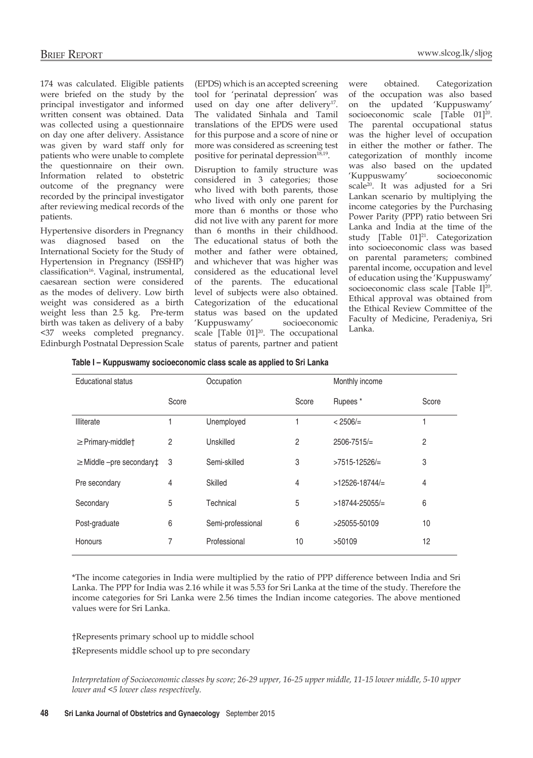174 was calculated. Eligible patients were briefed on the study by the principal investigator and informed written consent was obtained. Data was collected using a questionnaire on day one after delivery. Assistance was given by ward staff only for patients who were unable to complete the questionnaire on their own. Information related to obstetric outcome of the pregnancy were recorded by the principal investigator after reviewing medical records of the patients.

Hypertensive disorders in Pregnancy was diagnosed based on the International Society for the Study of Hypertension in Pregnancy (ISSHP) classification<sup>16</sup>. Vaginal, instrumental, caesarean section were considered as the modes of delivery. Low birth weight was considered as a birth weight less than 2.5 kg. Pre-term birth was taken as delivery of a baby <37 weeks completed pregnancy. Edinburgh Postnatal Depression Scale

(EPDS) which is an accepted screening tool for 'perinatal depression' was used on day one after delivery<sup>17</sup>. The validated Sinhala and Tamil translations of the EPDS were used for this purpose and a score of nine or more was considered as screening test positive for perinatal depression<sup>18,19</sup>.

Disruption to family structure was considered in 3 categories; those who lived with both parents, those who lived with only one parent for more than 6 months or those who did not live with any parent for more than 6 months in their childhood. The educational status of both the mother and father were obtained, and whichever that was higher was considered as the educational level of the parents. The educational level of subjects were also obtained. Categorization of the educational status was based on the updated 'Kuppuswamy' socioeconomic scale  $[Table 01]^{20}$ . The occupational status of parents, partner and patient were obtained. Categorization of the occupation was also based on the updated 'Kuppuswamy' socioeconomic scale [Table 01]<sup>20</sup>. The parental occupational status was the higher level of occupation in either the mother or father. The categorization of monthly income was also based on the updated 'Kuppuswamy' socioeconomic scale20. It was adjusted for a Sri Lankan scenario by multiplying the income categories by the Purchasing Power Parity (PPP) ratio between Sri Lanka and India at the time of the study [Table 01]<sup>21</sup>. Categorization into socioeconomic class was based on parental parameters; combined parental income, occupation and level of education using the 'Kuppuswamy' socioeconomic class scale [Table I]<sup>20</sup>. Ethical approval was obtained from the Ethical Review Committee of the Faculty of Medicine, Peradeniya, Sri Lanka.

| Table I - Kuppuswamy socioeconomic class scale as applied to Sri Lanka |  |  |
|------------------------------------------------------------------------|--|--|
|                                                                        |  |  |

| <b>Educational status</b>               |                | Occupation        |       | Monthly income     |       |
|-----------------------------------------|----------------|-------------------|-------|--------------------|-------|
|                                         | Score          |                   | Score | Rupees*            | Score |
| Illiterate                              |                | Unemployed        |       | $< 2506 / =$       |       |
| $\geq$ Primary-middlet                  | $\overline{2}$ | Unskilled         | 2     | $2506 - 7515/ =$   | 2     |
| $\geq$ Middle -pre secondary $\ddagger$ | 3              | Semi-skilled      | 3     | $>7515-12526/=$    | 3     |
| Pre secondary                           | 4              | Skilled           | 4     | $>12526 - 18744/$  | 4     |
| Secondary                               | 5              | Technical         | 5     | $>18744 - 25055/=$ | 6     |
| Post-graduate                           | 6              | Semi-professional | 6     | >25055-50109       | 10    |
| Honours                                 | 7              | Professional      | 10    | >50109             | 12    |

\*The income categories in India were multiplied by the ratio of PPP difference between India and Sri Lanka. The PPP for India was 2.16 while it was 5.53 for Sri Lanka at the time of the study. Therefore the income categories for Sri Lanka were 2.56 times the Indian income categories. The above mentioned values were for Sri Lanka.

†Represents primary school up to middle school

‡Represents middle school up to pre secondary

*Interpretation of Socioeconomic classes by score; 26-29 upper, 16-25 upper middle, 11-15 lower middle, 5-10 upper lower and <5 lower class respectively.*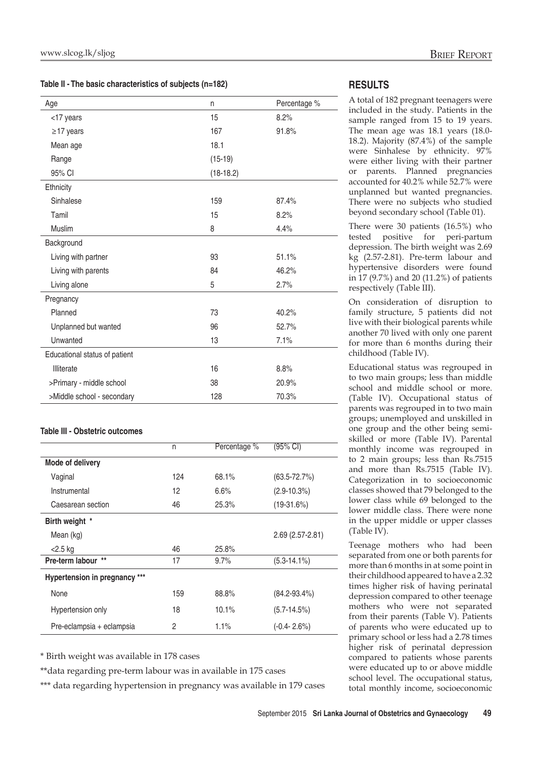**Table II - The basic characteristics of subjects (n=182)**

| Age                           | n           | Percentage % |
|-------------------------------|-------------|--------------|
| <17 years                     | 15          | 8.2%         |
| $\geq$ 17 years               | 167         | 91.8%        |
| Mean age                      | 18.1        |              |
| Range                         | $(15-19)$   |              |
| 95% CI                        | $(18-18.2)$ |              |
| Ethnicity                     |             |              |
| Sinhalese                     | 159         | 87.4%        |
| Tamil                         | 15          | 8.2%         |
| Muslim                        | 8           | 4.4%         |
| Background                    |             |              |
| Living with partner           | 93          | 51.1%        |
| Living with parents           | 84          | 46.2%        |
| Living alone                  | 5           | 2.7%         |
| Pregnancy                     |             |              |
| Planned                       | 73          | 40.2%        |
| Unplanned but wanted          | 96          | 52.7%        |
| Unwanted                      | 13          | 7.1%         |
| Educational status of patient |             |              |
| Illiterate                    | 16          | 8.8%         |
| >Primary - middle school      | 38          | 20.9%        |
| >Middle school - secondary    | 128         | 70.3%        |

#### **Table III - Obstetric outcomes**

|                               | n   | Percentage % | (95% CI)            |
|-------------------------------|-----|--------------|---------------------|
| Mode of delivery              |     |              |                     |
| Vaginal                       | 124 | 68.1%        | $(63.5 - 72.7%)$    |
| Instrumental                  | 12  | 6.6%         | $(2.9 - 10.3\%)$    |
| Caesarean section             | 46  | 25.3%        | $(19-31.6%)$        |
| Birth weight *                |     |              |                     |
| Mean (kg)                     |     |              | $2.69(2.57 - 2.81)$ |
| <2.5 kg                       | 46  | 25.8%        |                     |
| Pre-term labour **            | 17  | $9.7\%$      | $(5.3 - 14.1\%)$    |
| Hypertension in pregnancy *** |     |              |                     |
| None                          | 159 | 88.8%        | $(84.2 - 93.4\%)$   |
| Hypertension only             | 18  | 10.1%        | $(5.7 - 14.5%)$     |
| Pre-eclampsia + eclampsia     | 2   | 1.1%         | $(-0.4 - 2.6%)$     |

\* Birth weight was available in 178 cases

\*\*data regarding pre-term labour was in available in 175 cases

\*\*\* data regarding hypertension in pregnancy was available in 179 cases

### **Results**

A total of 182 pregnant teenagers were included in the study. Patients in the sample ranged from 15 to 19 years. The mean age was 18.1 years (18.0- 18.2). Majority (87.4%) of the sample were Sinhalese by ethnicity. 97% were either living with their partner or parents. Planned pregnancies accounted for 40.2% while 52.7% were unplanned but wanted pregnancies. There were no subjects who studied beyond secondary school (Table 01).

There were 30 patients (16.5%) who tested positive for peri-partum depression. The birth weight was 2.69 kg (2.57-2.81). Pre-term labour and hypertensive disorders were found in 17 (9.7%) and 20 (11.2%) of patients respectively (Table III).

On consideration of disruption to family structure, 5 patients did not live with their biological parents while another 70 lived with only one parent for more than 6 months during their childhood (Table IV).

Educational status was regrouped in to two main groups; less than middle school and middle school or more. (Table IV). Occupational status of parents was regrouped in to two main groups; unemployed and unskilled in one group and the other being semiskilled or more (Table IV). Parental monthly income was regrouped in to 2 main groups; less than Rs.7515 and more than Rs.7515 (Table IV). Categorization in to socioeconomic classes showed that 79 belonged to the lower class while 69 belonged to the lower middle class. There were none in the upper middle or upper classes (Table IV).

Teenage mothers who had been separated from one or both parents for more than 6 months in at some point in their childhood appeared to have a 2.32 times higher risk of having perinatal depression compared to other teenage mothers who were not separated from their parents (Table V). Patients of parents who were educated up to primary school or less had a 2.78 times higher risk of perinatal depression compared to patients whose parents were educated up to or above middle school level. The occupational status, total monthly income, socioeconomic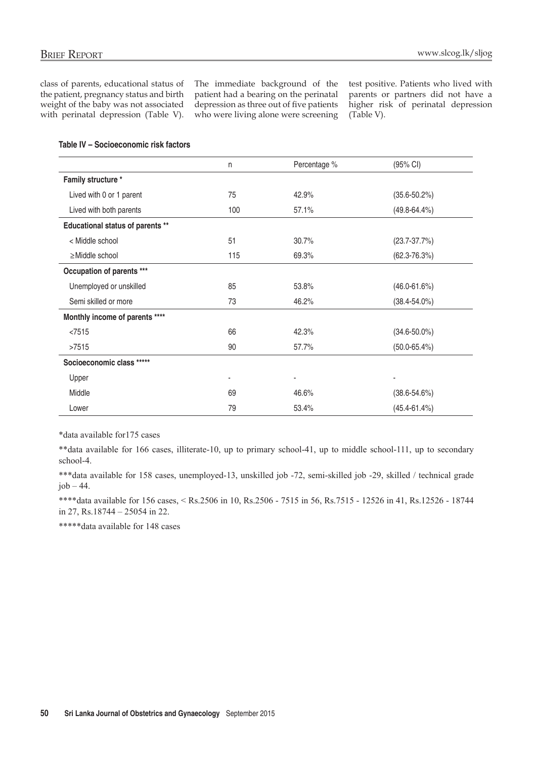class of parents, educational status of the patient, pregnancy status and birth weight of the baby was not associated with perinatal depression (Table V). The immediate background of the patient had a bearing on the perinatal depression as three out of five patients who were living alone were screening test positive. Patients who lived with parents or partners did not have a higher risk of perinatal depression (Table V).

|                                  | n   | Percentage %             | (95% CI)          |
|----------------------------------|-----|--------------------------|-------------------|
| Family structure *               |     |                          |                   |
| Lived with 0 or 1 parent         | 75  | 42.9%                    | $(35.6 - 50.2%)$  |
| Lived with both parents          | 100 | 57.1%                    | $(49.8 - 64.4\%)$ |
| Educational status of parents ** |     |                          |                   |
| < Middle school                  | 51  | 30.7%                    | $(23.7 - 37.7%)$  |
| $\geq$ Middle school             | 115 | 69.3%                    | $(62.3 - 76.3%)$  |
| Occupation of parents ***        |     |                          |                   |
| Unemployed or unskilled          | 85  | 53.8%                    | $(46.0 - 61.6%)$  |
| Semi skilled or more             | 73  | 46.2%                    | $(38.4 - 54.0\%)$ |
| Monthly income of parents ****   |     |                          |                   |
| < 7515                           | 66  | 42.3%                    | $(34.6 - 50.0\%)$ |
| >7515                            | 90  | 57.7%                    | $(50.0 - 65.4%)$  |
| Socioeconomic class *****        |     |                          |                   |
| Upper                            | ٠   | $\overline{\phantom{a}}$ |                   |
| Middle                           | 69  | 46.6%                    | $(38.6 - 54.6%)$  |
| Lower                            | 79  | 53.4%                    | $(45.4 - 61.4%)$  |

\*data available for175 cases

\*\*data available for 166 cases, illiterate-10, up to primary school-41, up to middle school-111, up to secondary school-4.

\*\*\*data available for 158 cases, unemployed-13, unskilled job -72, semi-skilled job -29, skilled / technical grade  $job - 44.$ 

\*\*\*\*data available for 156 cases, < Rs.2506 in 10, Rs.2506 - 7515 in 56, Rs.7515 - 12526 in 41, Rs.12526 - 18744 in 27, Rs.18744 – 25054 in 22.

\*\*\*\*\*data available for 148 cases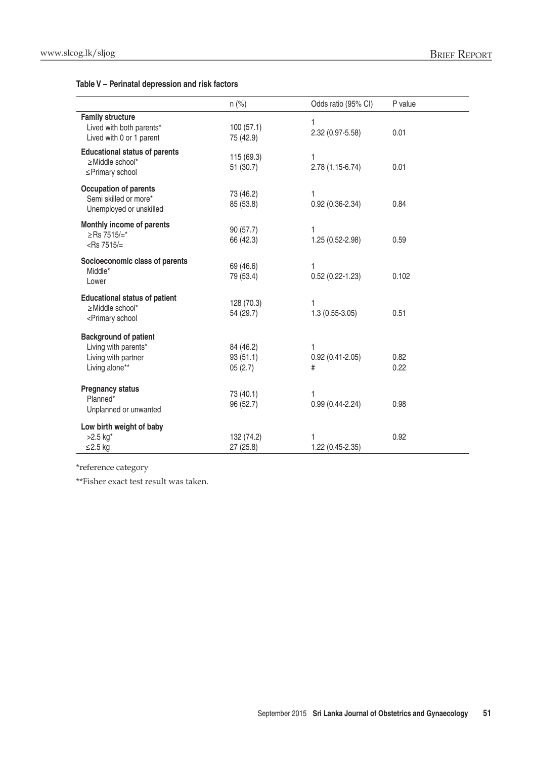#### **Table V – Perinatal depression and risk factors**

|                                                                                                                                                                                         | $n$ (%)                          | Odds ratio (95% CI)           | P value      |
|-----------------------------------------------------------------------------------------------------------------------------------------------------------------------------------------|----------------------------------|-------------------------------|--------------|
| <b>Family structure</b><br>Lived with both parents*<br>Lived with 0 or 1 parent                                                                                                         | 100(57.1)<br>75 (42.9)           | 1<br>2.32 (0.97-5.58)         | 0.01         |
| <b>Educational status of parents</b><br>$\geq$ Middle school*<br>≤Primary school                                                                                                        | 115 (69.3)<br>51 (30.7)          | 1<br>2.78 (1.15-6.74)         | 0.01         |
| Occupation of parents<br>Semi skilled or more*<br>Unemployed or unskilled                                                                                                               | 73 (46.2)<br>85 (53.8)           | 1<br>$0.92(0.36 - 2.34)$      | 0.84         |
| Monthly income of parents<br>$≥$ Rs 7515/=*<br><rs 7515="" =<="" td=""><td>90 (57.7)<br/>66 (42.3)</td><td>1<br/>1.25 (0.52-2.98)</td><td>0.59</td></rs>                                | 90 (57.7)<br>66 (42.3)           | 1<br>1.25 (0.52-2.98)         | 0.59         |
| Socioeconomic class of parents<br>Middle*<br>Lower                                                                                                                                      | 69 (46.6)<br>79 (53.4)           | 1<br>$0.52(0.22 - 1.23)$      | 0.102        |
| <b>Educational status of patient</b><br>≥Middle school*<br><primary school<="" td=""><td>128 (70.3)<br/>54 (29.7)</td><td>1<br/><math>1.3(0.55-3.05)</math></td><td>0.51</td></primary> | 128 (70.3)<br>54 (29.7)          | 1<br>$1.3(0.55-3.05)$         | 0.51         |
| <b>Background of patient</b><br>Living with parents*<br>Living with partner<br>Living alone**                                                                                           | 84 (46.2)<br>93(51.1)<br>05(2.7) | 1<br>$0.92(0.41 - 2.05)$<br># | 0.82<br>0.22 |
| <b>Pregnancy status</b><br>Planned*<br>Unplanned or unwanted                                                                                                                            | 73 (40.1)<br>96 (52.7)           | 1<br>$0.99(0.44 - 2.24)$      | 0.98         |
| Low birth weight of baby<br>$>2.5$ kg <sup>*</sup><br>≤2.5 $kg$                                                                                                                         | 132 (74.2)<br>27 (25.8)          | 1.22 (0.45-2.35)              | 0.92         |

\*reference category

\*\*Fisher exact test result was taken.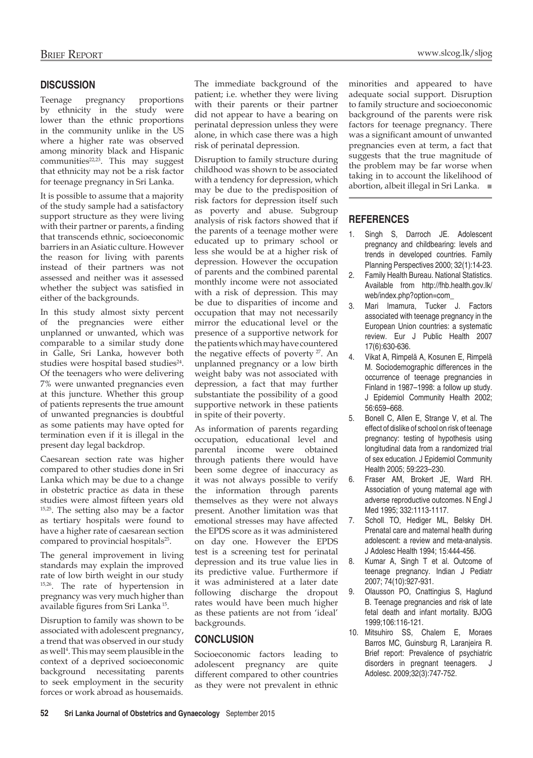### **Discussion**

Teenage pregnancy proportions by ethnicity in the study were lower than the ethnic proportions in the community unlike in the US where a higher rate was observed among minority black and Hispanic communities<sup>22,23</sup>. This may suggest that ethnicity may not be a risk factor for teenage pregnancy in Sri Lanka.

It is possible to assume that a majority of the study sample had a satisfactory support structure as they were living with their partner or parents, a finding that transcends ethnic, socioeconomic barriers in an Asiatic culture. However the reason for living with parents instead of their partners was not assessed and neither was it assessed whether the subject was satisfied in either of the backgrounds.

In this study almost sixty percent of the pregnancies were either unplanned or unwanted, which was comparable to a similar study done in Galle, Sri Lanka, however both studies were hospital based studies<sup>24</sup>. Of the teenagers who were delivering 7% were unwanted pregnancies even at this juncture. Whether this group of patients represents the true amount of unwanted pregnancies is doubtful as some patients may have opted for termination even if it is illegal in the present day legal backdrop.

Caesarean section rate was higher compared to other studies done in Sri Lanka which may be due to a change in obstetric practice as data in these studies were almost fifteen years old 15,25. The setting also may be a factor as tertiary hospitals were found to have a higher rate of caesarean section compared to provincial hospitals<sup>25</sup>.

The general improvement in living standards may explain the improved rate of low birth weight in our study 15,26. The rate of hypertension in pregnancy was very much higher than available figures from Sri Lanka 15.

Disruption to family was shown to be associated with adolescent pregnancy, a trend that was observed in our study as well<sup>4</sup>. This may seem plausible in the context of a deprived socioeconomic background necessitating parents to seek employment in the security forces or work abroad as housemaids.

The immediate background of the patient; i.e. whether they were living with their parents or their partner did not appear to have a bearing on perinatal depression unless they were alone, in which case there was a high risk of perinatal depression.

Disruption to family structure during childhood was shown to be associated with a tendency for depression, which may be due to the predisposition of risk factors for depression itself such as poverty and abuse. Subgroup analysis of risk factors showed that if the parents of a teenage mother were educated up to primary school or less she would be at a higher risk of depression. However the occupation of parents and the combined parental monthly income were not associated with a risk of depression. This may be due to disparities of income and occupation that may not necessarily mirror the educational level or the presence of a supportive network for the patients which may have countered the negative effects of poverty  $27$ . An unplanned pregnancy or a low birth weight baby was not associated with depression, a fact that may further substantiate the possibility of a good supportive network in these patients in spite of their poverty.

As information of parents regarding occupation, educational level and parental income were obtained through patients there would have been some degree of inaccuracy as it was not always possible to verify the information through parents themselves as they were not always present. Another limitation was that emotional stresses may have affected the EPDS score as it was administered on day one. However the EPDS test is a screening test for perinatal depression and its true value lies in its predictive value. Furthermore if it was administered at a later date following discharge the dropout rates would have been much higher as these patients are not from 'ideal' backgrounds.

### **Conclusion**

Socioeconomic factors leading to adolescent pregnancy are quite different compared to other countries as they were not prevalent in ethnic

minorities and appeared to have adequate social support. Disruption to family structure and socioeconomic background of the parents were risk factors for teenage pregnancy. There was a significant amount of unwanted pregnancies even at term, a fact that suggests that the true magnitude of the problem may be far worse when taking in to account the likelihood of abortion, albeit illegal in Sri Lanka. ■

# **References**

- Singh S, Darroch JE. Adolescent pregnancy and childbearing: levels and trends in developed countries. Family Planning Perspectives 2000; 32(1):14-23.
- 2. Family Health Bureau. National Statistics. Available from http://fhb.health.gov.lk/ web/index.php?option=com\_
- 3. Mari Imamura, Tucker J. Factors associated with teenage pregnancy in the European Union countries: a systematic review. Eur J Public Health 2007 17(6):630-636.
- 4. Vikat A, Rimpelä A, Kosunen E, Rimpelä M. Sociodemographic differences in the occurrence of teenage pregnancies in Finland in 1987–1998: a follow up study. J Epidemiol Community Health 2002; 56:659–668.
- 5. Bonell C, Allen E, Strange V, et al. The effect of dislike of school on risk of teenage pregnancy: testing of hypothesis using longitudinal data from a randomized trial of sex education. J Epidemiol Community Health 2005; 59:223–230.
- 6. Fraser AM, Brokert JE, Ward RH. Association of young maternal age with adverse reproductive outcomes. N Engl J Med 1995; 332:1113-1117.
- 7. Scholl TO, Hediger ML, Belsky DH. Prenatal care and maternal health during adolescent: a review and meta-analysis. J Adolesc Health 1994; 15:444-456.
- 8. Kumar A, Singh T et al. Outcome of teenage pregnancy. Indian J Pediatr 2007; 74(10):927-931.
- 9. Olausson PO, Cnattingius S, Haglund B. Teenage pregnancies and risk of late fetal death and infant mortality. BJOG 1999;106:116-121.
- 10. Mitsuhiro SS, Chalem E, Moraes Barros MC, Guinsburg R, Laranjeira R. Brief report: Prevalence of psychiatric disorders in pregnant teenagers. J Adolesc. 2009;32(3):747-752.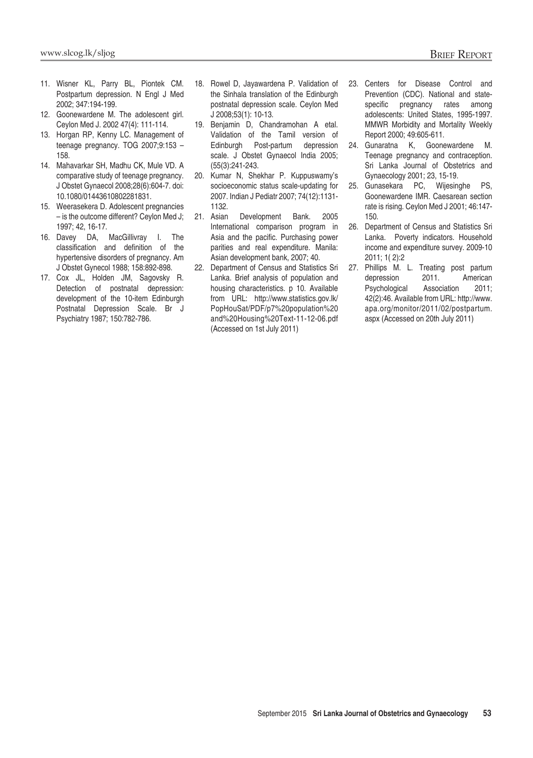- 11. Wisner KL, Parry BL, Piontek CM. Postpartum depression. N Engl J Med 2002; 347:194-199.
- 12. Goonewardene M. The adolescent girl. Ceylon Med J. 2002 47(4): 111-114.
- 13. Horgan RP, Kenny LC. Management of teenage pregnancy. TOG 2007;9:153 – 158.
- 14. Mahavarkar SH, Madhu CK, Mule VD. A comparative study of teenage pregnancy. J Obstet Gynaecol 2008;28(6):604-7. doi: 10.1080/01443610802281831.
- 15. Weerasekera D. Adolescent pregnancies – is the outcome different? Ceylon Med J; 1997; 42, 16-17.
- 16. Davey DA, MacGillivray I. The classification and definition of the hypertensive disorders of pregnancy. Am J Obstet Gynecol 1988; 158:892-898.
- 17. Cox JL, Holden JM, Sagovsky R. Detection of postnatal depression: development of the 10-item Edinburgh Postnatal Depression Scale. Br J Psychiatry 1987; 150:782-786.
- 18. Rowel D, Jayawardena P. Validation of the Sinhala translation of the Edinburgh postnatal depression scale. Ceylon Med J 2008;53(1): 10-13.
- 19. Benjamin D, Chandramohan A etal. Validation of the Tamil version of Edinburgh Post-partum depression scale. J Obstet Gynaecol India 2005; (55(3):241-243.
- 20. Kumar N, Shekhar P. Kuppuswamy's socioeconomic status scale-updating for 2007. Indian J Pediatr 2007; 74(12):1131- 1132.
- 21. Asian Development Bank. 2005 International comparison program in Asia and the pacific. Purchasing power parities and real expenditure. Manila: Asian development bank, 2007; 40.
- 22. Department of Census and Statistics Sri Lanka. Brief analysis of population and housing characteristics. p 10. Available from URL: http://www.statistics.gov.lk/ PopHouSat/PDF/p7%20population%20 and%20Housing%20Text-11-12-06.pdf (Accessed on 1st July 2011)
- 23. Centers for Disease Control and Prevention (CDC). National and statespecific pregnancy rates among adolescents: United States, 1995-1997. MMWR Morbidity and Mortality Weekly Report 2000; 49:605-611.
- 24. Gunaratna K, Goonewardene M. Teenage pregnancy and contraception. Sri Lanka Journal of Obstetrics and Gynaecology 2001; 23, 15-19.
- 25. Gunasekara PC, Wijesinghe PS, Goonewardene IMR. Caesarean section rate is rising. Ceylon Med J 2001; 46:147- 150.
- 26. Department of Census and Statistics Sri Lanka. Poverty indicators. Household income and expenditure survey. 2009-10 2011; 1( 2):2
- 27. Phillips M. L. Treating post partum depression 2011. American Psychological Association 2011; 42(2):46. Available from URL: http://www. apa.org/monitor/2011/02/postpartum. aspx (Accessed on 20th July 2011)